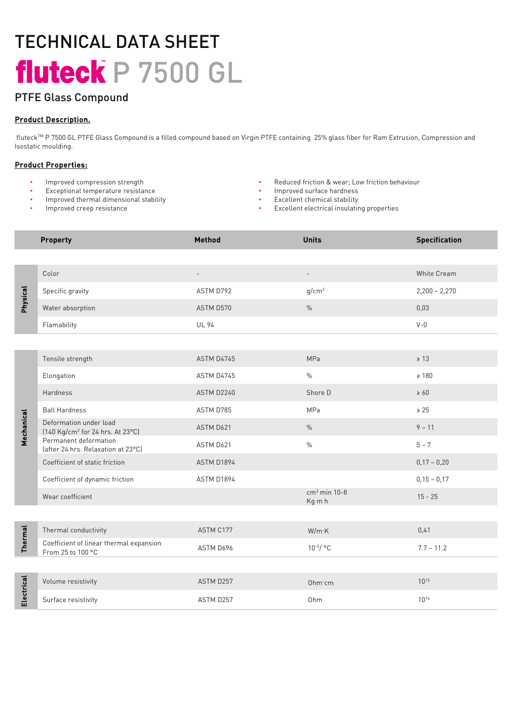## TECHNICAL DATA SHEET fluteck P 7500 GL

## PTFE Glass Compound

### Product Description.

 fluteckTM P 7500 GL PTFE Glass Compound is a filled compound based on Virgin PTFE containing 25% glass fiber for Ram Extrusion, Compress Compression and Isostatic moulding.

#### Product Properties:

- Improved compression strength
- Exceptional temperature resistance
- Improved thermal dimensional stability
- Improved creep resistance
- Reduced friction & wear; Low friction behaviour
- Improved surface hardness
- Excellent chemical stability
- Excellent electrical insulating properties

|                 | <b>Property</b>                                                        | Method            | <b>Units</b>             | <b>Specification</b> |
|-----------------|------------------------------------------------------------------------|-------------------|--------------------------|----------------------|
|                 |                                                                        |                   |                          |                      |
| <b>Physical</b> | Color                                                                  | $\qquad \qquad -$ | $\overline{\phantom{a}}$ | White Cream          |
|                 | Specific gravity                                                       | ASTM D792         | g/cm <sup>3</sup>        | $2,200 - 2,270$      |
|                 | Water absorption                                                       | ASTM D570         | $\frac{0}{0}$            | 0,03                 |
|                 | Flamability                                                            | <b>UL 94</b>      |                          | $V - 0$              |
|                 |                                                                        |                   |                          |                      |
| Mechanical      | Tensile strength                                                       | ASTM D4745        | MPa                      | $\geq 13$            |
|                 | Elongation                                                             | ASTM D4745        | $\frac{0}{0}$            | $\geq 180$           |
|                 | Hardness                                                               | ASTM D2240        | Shore D                  | $\geq 60$            |
|                 | <b>Ball Hardness</b>                                                   | ASTM D785         | MPa                      | $\ge 25$             |
|                 | Deformation under load<br>[140 Kg/cm <sup>2</sup> for 24 hrs. At 23°C] | ASTM D621         | $\%$                     | $9 - 11$             |
|                 | Permanent deformation<br>(after 24 hrs. Relaxation at 23°C)            | ASTM D621         | $\%$                     | $5 - 7$              |
|                 | Coefficient of static friction                                         | ASTM D1894        |                          | $0,17 - 0,20$        |
|                 | Coefficient of dynamic friction                                        | ASTM D1894        |                          | $0,15 - 0,17$        |
|                 | Wear coefficient                                                       |                   | $cm3$ min 10-8<br>Kg m h | $15 - 25$            |
|                 |                                                                        |                   |                          |                      |
| <b>Thermal</b>  | Thermal conductivity                                                   | ASTM C177         | $W/m$ $K$                | 0,41                 |
|                 | Coefficient of linear thermal expansion<br>From 25 to 100 °C           | ASTM D696         | $10^{-5}/$ °C            | $7.7 - 11.2$         |
|                 |                                                                        |                   |                          |                      |
| Electrical      | Volume resistivity                                                     | ASTM D257         | Ohm·cm                   | $10^{15}$            |
|                 | Surface resistivity                                                    | ASTM D257         | Ohm                      | $10^{14}$            |
|                 |                                                                        |                   |                          |                      |
|                 |                                                                        |                   |                          |                      |
|                 |                                                                        |                   |                          |                      |
|                 |                                                                        |                   |                          |                      |
|                 |                                                                        |                   |                          |                      |